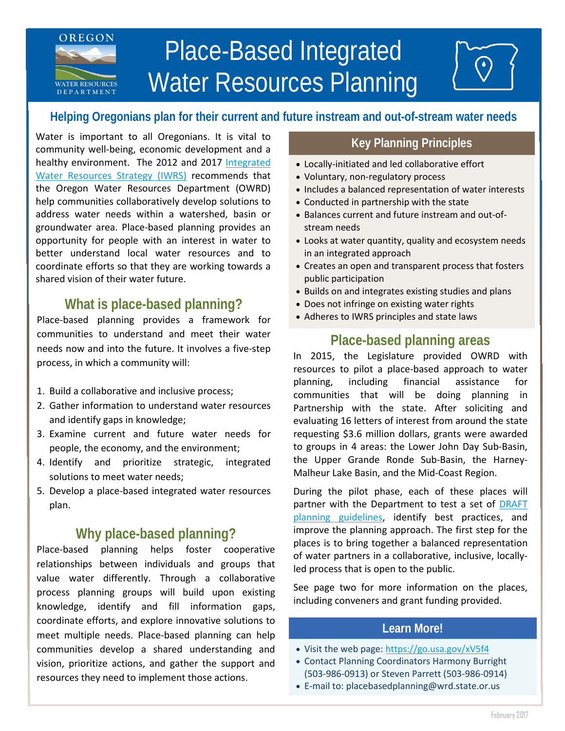# Place-Based Integrated Water Resources Planning **WATER RESOURCES D E P A R T M E N T**

# **Helping Oregonians plan for their current and future instream and out-of-stream water needs**

Water is important to all Oregonians. It is vital to community well-being, economic development and a healthy environment. The 2012 and 2017 [Integrated](https://www.oregon.gov/OWRD/programs/Planning/IWRS/Pages/default.aspx)  [Water Resources Strategy \(IWRS\)](https://www.oregon.gov/OWRD/programs/Planning/IWRS/Pages/default.aspx) recommends that the Oregon Water Resources Department (OWRD) help communities collaboratively develop solutions to address water needs within a watershed, basin or groundwater area. Place-based planning provides an opportunity for people with an interest in water to better understand local water resources and to coordinate efforts so that they are working towards a shared vision of their water future.

**OREGON**

# **What is place-based planning?**

Place-based planning provides a framework for communities to understand and meet their water needs now and into the future. It involves a five-step process, in which a community will:

- 1. Build a collaborative and inclusive process;
- 2. Gather information to understand water resources and identify gaps in knowledge;
- 3. Examine current and future water needs for people, the economy, and the environment;
- 4. Identify and prioritize strategic, integrated solutions to meet water needs;
- 5. Develop a place-based integrated water resources plan.

# **Why place-based planning?**

Place-based planning helps foster cooperative relationships between individuals and groups that value water differently. Through a collaborative process planning groups will build upon existing knowledge, identify and fill information gaps, coordinate efforts, and explore innovative solutions to meet multiple needs. Place-based planning can help communities develop a shared understanding and vision, prioritize actions, and gather the support and resources they need to implement those actions.

### **Key Planning Principles**

- Locally-initiated and led collaborative effort
- Voluntary, non-regulatory process
- Includes a balanced representation of water interests
- Conducted in partnership with the state
- Balances current and future instream and out-ofstream needs
- Looks at water quantity, quality and ecosystem needs in an integrated approach
- Creates an open and transparent process that fosters public participation
- Builds on and integrates existing studies and plans
- Does not infringe on existing water rights
- Adheres to IWRS principles and state laws

## **Place-based planning areas**

In 2015, the Legislature provided OWRD with resources to pilot a place-based approach to water planning, including financial assistance for communities that will be doing planning in Partnership with the state. After soliciting and evaluating 16 letters of interest from around the state requesting \$3.6 million dollars, grants were awarded to groups in 4 areas: the Lower John Day Sub-Basin, the Upper Grande Ronde Sub-Basin, the Harney-Malheur Lake Basin, and the Mid-Coast Region.

During the pilot phase, each of these places will partner with the Department to test a set of DRAFT [planning guidelines,](https://www.oregon.gov/OWRD/WRDPublications1/2015_February_Draft_Place_Based_Guidelines.pdf) identify best practices, and improve the planning approach. The first step for the places is to bring together a balanced representation of water partners in a collaborative, inclusive, locallyled process that is open to the public.

See page two for more information on the places, including conveners and grant funding provided.

### **Learn More!**

- Visit the web page: <https://go.usa.gov/xV5f4>
- Contact Planning Coordinators Harmony Burright (503-986-0913) or Steven Parrett (503-986-0914)
- E-mail to: [placebasedplanning@wrd.state.or.us](mailto:placebasedplanning@wrd.state.or.us)